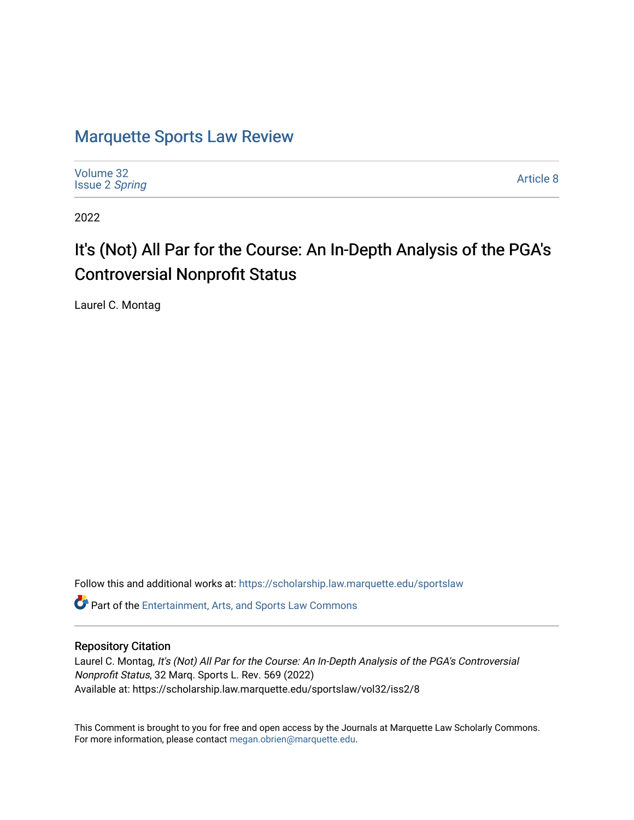# [Marquette Sports Law Review](https://scholarship.law.marquette.edu/sportslaw)

| Volume 32<br><b>Issue 2 Spring</b> | Article 8 |
|------------------------------------|-----------|
|------------------------------------|-----------|

2022

# It's (Not) All Par for the Course: An In-Depth Analysis of the PGA's Controversial Nonprofit Status

Laurel C. Montag

Follow this and additional works at: [https://scholarship.law.marquette.edu/sportslaw](https://scholarship.law.marquette.edu/sportslaw?utm_source=scholarship.law.marquette.edu%2Fsportslaw%2Fvol32%2Fiss2%2F8&utm_medium=PDF&utm_campaign=PDFCoverPages) 

Part of the [Entertainment, Arts, and Sports Law Commons](https://network.bepress.com/hgg/discipline/893?utm_source=scholarship.law.marquette.edu%2Fsportslaw%2Fvol32%2Fiss2%2F8&utm_medium=PDF&utm_campaign=PDFCoverPages)

# Repository Citation

Laurel C. Montag, It's (Not) All Par for the Course: An In-Depth Analysis of the PGA's Controversial Nonprofit Status, 32 Marq. Sports L. Rev. 569 (2022) Available at: https://scholarship.law.marquette.edu/sportslaw/vol32/iss2/8

This Comment is brought to you for free and open access by the Journals at Marquette Law Scholarly Commons. For more information, please contact [megan.obrien@marquette.edu](mailto:megan.obrien@marquette.edu).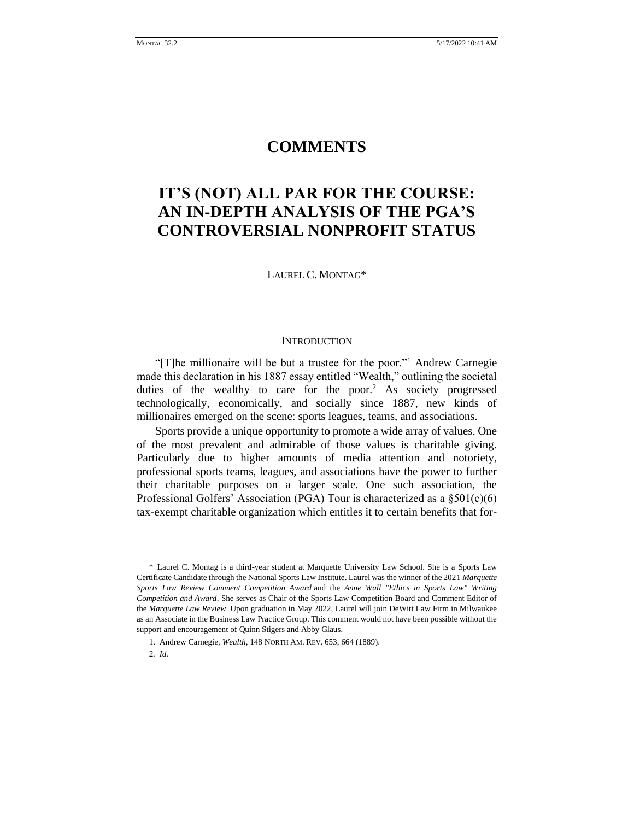# **COMMENTS**

# **IT'S (NOT) ALL PAR FOR THE COURSE: AN IN-DEPTH ANALYSIS OF THE PGA'S CONTROVERSIAL NONPROFIT STATUS**

LAUREL C. MONTAG\*

#### **INTRODUCTION**

"[T]he millionaire will be but a trustee for the poor."<sup>1</sup> Andrew Carnegie made this declaration in his 1887 essay entitled "Wealth," outlining the societal duties of the wealthy to care for the poor.<sup>2</sup> As society progressed technologically, economically, and socially since 1887, new kinds of millionaires emerged on the scene: sports leagues, teams, and associations.

Sports provide a unique opportunity to promote a wide array of values. One of the most prevalent and admirable of those values is charitable giving. Particularly due to higher amounts of media attention and notoriety, professional sports teams, leagues, and associations have the power to further their charitable purposes on a larger scale. One such association, the Professional Golfers' Association (PGA) Tour is characterized as a  $\S501(c)(6)$ tax-exempt charitable organization which entitles it to certain benefits that for-

<sup>\*</sup> Laurel C. Montag is a third-year student at Marquette University Law School. She is a Sports Law Certificate Candidate through the National Sports Law Institute. Laurel was the winner of the 2021 *Marquette Sports Law Review Comment Competition Award* and the *Anne Wall "Ethics in Sports Law" Writing Competition and Award*. She serves as Chair of the Sports Law Competition Board and Comment Editor of the *Marquette Law Review*. Upon graduation in May 2022, Laurel will join DeWitt Law Firm in Milwaukee as an Associate in the Business Law Practice Group. This comment would not have been possible without the support and encouragement of Quinn Stigers and Abby Glaus.

<sup>1.</sup> Andrew Carnegie, *Wealth*, 148 NORTH AM. REV. 653, 664 (1889).

<sup>2</sup>*. Id.*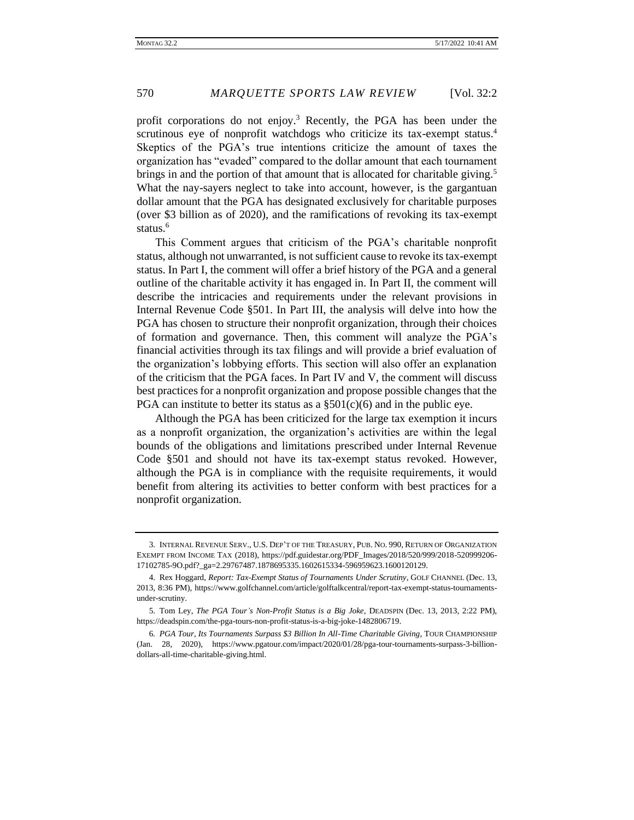profit corporations do not enjoy.<sup>3</sup> Recently, the PGA has been under the scrutinous eye of nonprofit watchdogs who criticize its tax-exempt status.<sup>4</sup> Skeptics of the PGA's true intentions criticize the amount of taxes the organization has "evaded" compared to the dollar amount that each tournament brings in and the portion of that amount that is allocated for charitable giving.<sup>5</sup> What the nay-sayers neglect to take into account, however, is the gargantuan dollar amount that the PGA has designated exclusively for charitable purposes (over \$3 billion as of 2020), and the ramifications of revoking its tax-exempt status.<sup>6</sup>

This Comment argues that criticism of the PGA's charitable nonprofit status, although not unwarranted, is not sufficient cause to revoke its tax-exempt status. In Part I, the comment will offer a brief history of the PGA and a general outline of the charitable activity it has engaged in. In Part II, the comment will describe the intricacies and requirements under the relevant provisions in Internal Revenue Code §501. In Part III, the analysis will delve into how the PGA has chosen to structure their nonprofit organization, through their choices of formation and governance. Then, this comment will analyze the PGA's financial activities through its tax filings and will provide a brief evaluation of the organization's lobbying efforts. This section will also offer an explanation of the criticism that the PGA faces. In Part IV and V, the comment will discuss best practices for a nonprofit organization and propose possible changes that the PGA can institute to better its status as a  $\S501(c)(6)$  and in the public eye.

Although the PGA has been criticized for the large tax exemption it incurs as a nonprofit organization, the organization's activities are within the legal bounds of the obligations and limitations prescribed under Internal Revenue Code §501 and should not have its tax-exempt status revoked. However, although the PGA is in compliance with the requisite requirements, it would benefit from altering its activities to better conform with best practices for a nonprofit organization.

<sup>3.</sup> INTERNAL REVENUE SERV., U.S. DEP'T OF THE TREASURY, PUB. NO. 990, RETURN OF ORGANIZATION EXEMPT FROM INCOME TAX (2018), https://pdf.guidestar.org/PDF\_Images/2018/520/999/2018-520999206- 17102785-9O.pdf?\_ga=2.29767487.1878695335.1602615334-596959623.1600120129.

<sup>4.</sup> Rex Hoggard, *Report: Tax-Exempt Status of Tournaments Under Scrutiny*, GOLF CHANNEL (Dec. 13, 2013, 8:36 PM), https://www.golfchannel.com/article/golftalkcentral/report-tax-exempt-status-tournamentsunder-scrutiny.

<sup>5.</sup> Tom Ley, *The PGA Tour's Non-Profit Status is a Big Joke,* DEADSPIN (Dec. 13, 2013, 2:22 PM), https://deadspin.com/the-pga-tours-non-profit-status-is-a-big-joke-1482806719.

<sup>6</sup>*. PGA Tour, Its Tournaments Surpass \$3 Billion In All-Time Charitable Giving*, TOUR CHAMPIONSHIP (Jan. 28, 2020), https://www.pgatour.com/impact/2020/01/28/pga-tour-tournaments-surpass-3-billiondollars-all-time-charitable-giving.html.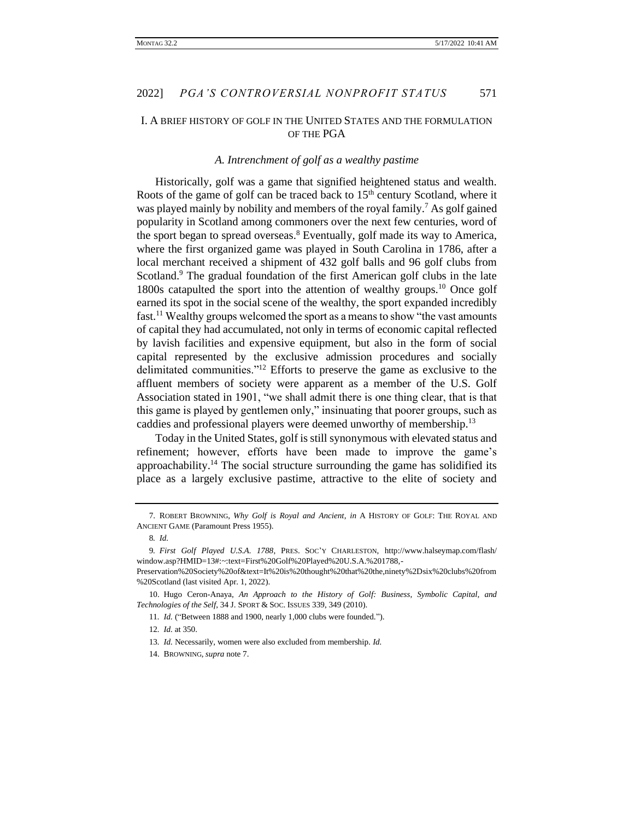# I. A BRIEF HISTORY OF GOLF IN THE UNITED STATES AND THE FORMULATION OF THE PGA

### *A. Intrenchment of golf as a wealthy pastime*

Historically, golf was a game that signified heightened status and wealth. Roots of the game of golf can be traced back to  $15<sup>th</sup>$  century Scotland, where it was played mainly by nobility and members of the royal family.<sup>7</sup> As golf gained popularity in Scotland among commoners over the next few centuries, word of the sport began to spread overseas.<sup>8</sup> Eventually, golf made its way to America, where the first organized game was played in South Carolina in 1786, after a local merchant received a shipment of 432 golf balls and 96 golf clubs from Scotland.<sup>9</sup> The gradual foundation of the first American golf clubs in the late 1800s catapulted the sport into the attention of wealthy groups.<sup>10</sup> Once golf earned its spot in the social scene of the wealthy, the sport expanded incredibly fast.<sup>11</sup> Wealthy groups welcomed the sport as a means to show "the vast amounts of capital they had accumulated, not only in terms of economic capital reflected by lavish facilities and expensive equipment, but also in the form of social capital represented by the exclusive admission procedures and socially delimitated communities."<sup>12</sup> Efforts to preserve the game as exclusive to the affluent members of society were apparent as a member of the U.S. Golf Association stated in 1901, "we shall admit there is one thing clear, that is that this game is played by gentlemen only," insinuating that poorer groups, such as caddies and professional players were deemed unworthy of membership.<sup>13</sup>

Today in the United States, golf is still synonymous with elevated status and refinement; however, efforts have been made to improve the game's approachability.<sup>14</sup> The social structure surrounding the game has solidified its place as a largely exclusive pastime, attractive to the elite of society and

<sup>7.</sup> ROBERT BROWNING, *Why Golf is Royal and Ancient, in* A HISTORY OF GOLF: THE ROYAL AND ANCIENT GAME (Paramount Press 1955).

<sup>8</sup>*. Id.*

<sup>9</sup>*. First Golf Played U.S.A. 1788*, PRES. SOC'Y CHARLESTON, http://www.halseymap.com/flash/ window.asp?HMID=13#:~:text=First%20Golf%20Played%20U.S.A.%201788,-

Preservation%20Society%20of&text=It%20is%20thought%20that%20the,ninety%2Dsix%20clubs%20from %20Scotland (last visited Apr. 1, 2022).

<sup>10.</sup> Hugo Ceron-Anaya, *An Approach to the History of Golf: Business, Symbolic Capital, and Technologies of the Self*, 34 J. SPORT & SOC. ISSUES 339, 349 (2010).

<sup>11</sup>*. Id.* ("Between 1888 and 1900, nearly 1,000 clubs were founded.").

<sup>12</sup>*. Id.* at 350.

<sup>13</sup>*. Id.* Necessarily, women were also excluded from membership. *Id.*

<sup>14.</sup> BROWNING, *supra* note 7.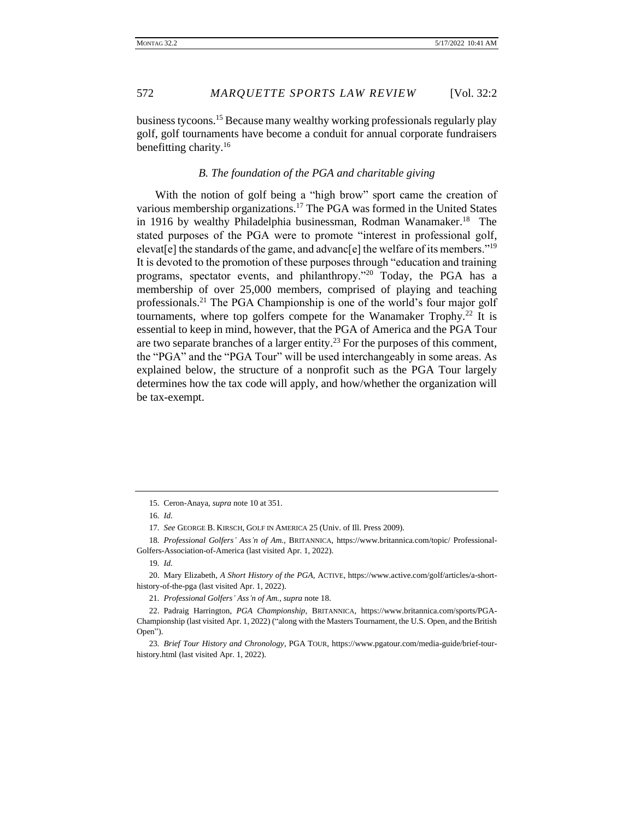business tycoons.<sup>15</sup> Because many wealthy working professionals regularly play golf, golf tournaments have become a conduit for annual corporate fundraisers benefitting charity.<sup>16</sup>

### *B. The foundation of the PGA and charitable giving*

With the notion of golf being a "high brow" sport came the creation of various membership organizations.<sup>17</sup> The PGA was formed in the United States in 1916 by wealthy Philadelphia businessman, Rodman Wanamaker.<sup>18</sup> The stated purposes of the PGA were to promote "interest in professional golf, elevat<sup>[e]</sup> the standards of the game, and advanc<sup>[e]</sup> the welfare of its members."<sup>19</sup> It is devoted to the promotion of these purposes through "education and training programs, spectator events, and philanthropy."<sup>20</sup> Today, the PGA has a membership of over 25,000 members, comprised of playing and teaching professionals.<sup>21</sup> The PGA Championship is one of the world's four major golf tournaments, where top golfers compete for the Wanamaker Trophy.<sup>22</sup> It is essential to keep in mind, however, that the PGA of America and the PGA Tour are two separate branches of a larger entity.<sup>23</sup> For the purposes of this comment, the "PGA" and the "PGA Tour" will be used interchangeably in some areas. As explained below, the structure of a nonprofit such as the PGA Tour largely determines how the tax code will apply, and how/whether the organization will be tax-exempt.

<sup>15.</sup> Ceron-Anaya, *supra* note 10 at 351.

<sup>16</sup>*. Id.*

<sup>17</sup>*. See* GEORGE B. KIRSCH, GOLF IN AMERICA 25 (Univ. of Ill. Press 2009).

<sup>18</sup>*. Professional Golfers' Ass'n of Am.*, BRITANNICA, https://www.britannica.com/topic/ Professional-Golfers-Association-of-America (last visited Apr. 1, 2022).

<sup>19</sup>*. Id.*

<sup>20.</sup> Mary Elizabeth, *A Short History of the PGA*, ACTIVE, https://www.active.com/golf/articles/a-shorthistory-of-the-pga (last visited Apr. 1, 2022).

<sup>21</sup>*. Professional Golfers' Ass'n of Am.*, *supra* note 18.

<sup>22.</sup> Padraig Harrington, *PGA Championship*, BRITANNICA, https://www.britannica.com/sports/PGA-Championship (last visited Apr. 1, 2022) ("along with the Masters Tournament, the U.S. Open, and the British Open").

<sup>23</sup>*. Brief Tour History and Chronology*, PGA TOUR, https://www.pgatour.com/media-guide/brief-tourhistory.html (last visited Apr. 1, 2022).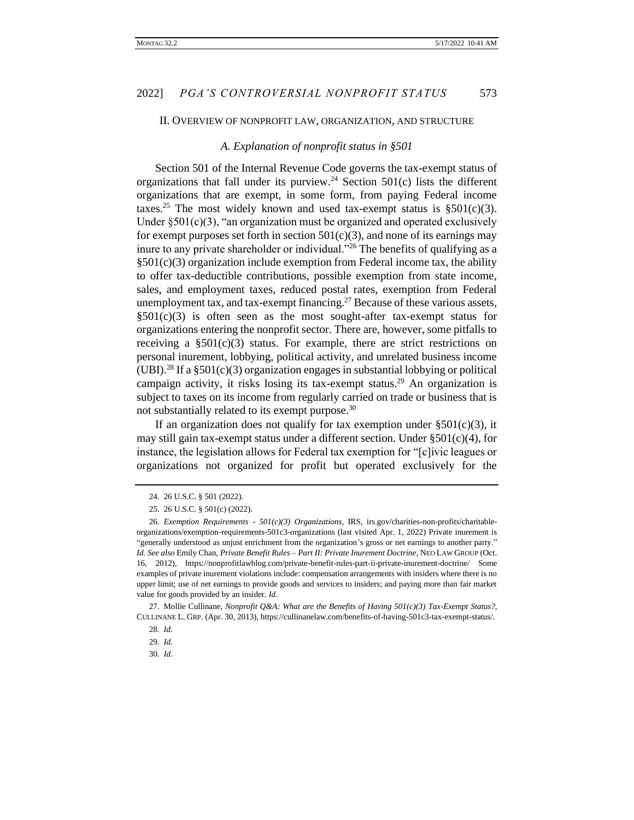#### II. OVERVIEW OF NONPROFIT LAW, ORGANIZATION, AND STRUCTURE

#### *A. Explanation of nonprofit status in §501*

Section 501 of the Internal Revenue Code governs the tax-exempt status of organizations that fall under its purview.<sup>24</sup> Section  $501(c)$  lists the different organizations that are exempt, in some form, from paying Federal income taxes.<sup>25</sup> The most widely known and used tax-exempt status is  $\S501(c)(3)$ . Under  $\S501(c)(3)$ , "an organization must be organized and operated exclusively for exempt purposes set forth in section  $501(c)(3)$ , and none of its earnings may inure to any private shareholder or individual."<sup>26</sup> The benefits of qualifying as a  $\S501(c)(3)$  organization include exemption from Federal income tax, the ability to offer tax-deductible contributions, possible exemption from state income, sales, and employment taxes, reduced postal rates, exemption from Federal unemployment tax, and tax-exempt financing.<sup>27</sup> Because of these various assets,  $\S501(c)(3)$  is often seen as the most sought-after tax-exempt status for organizations entering the nonprofit sector. There are, however, some pitfalls to receiving a  $\S501(c)(3)$  status. For example, there are strict restrictions on personal inurement, lobbying, political activity, and unrelated business income (UBI).<sup>28</sup> If a  $\S 501(c)(3)$  organization engages in substantial lobbying or political campaign activity, it risks losing its tax-exempt status.<sup>29</sup> An organization is subject to taxes on its income from regularly carried on trade or business that is not substantially related to its exempt purpose.<sup>30</sup>

If an organization does not qualify for tax exemption under  $\S501(c)(3)$ , it may still gain tax-exempt status under a different section. Under  $\S501(c)(4)$ , for instance, the legislation allows for Federal tax exemption for "[c]ivic leagues or organizations not organized for profit but operated exclusively for the

27. Mollie Cullinane, *Nonprofit Q&A: What are the Benefits of Having 501(c)(3) Tax-Exempt Status?*, CULLINANE L. GRP. (Apr. 30, 2013), https://cullinanelaw.com/benefits-of-having-501c3-tax-exempt-status/.

<sup>24.</sup> 26 U.S.C. § 501 (2022).

<sup>25.</sup> 26 U.S.C. § 501(c) (2022).

<sup>26</sup>*. Exemption Requirements - 501(c)(3) Organizations*, IRS, irs.gov/charities-non-profits/charitableorganizations/exemption-requirements-501c3-organizations (last visited Apr. 1, 2022) Private inurement is "generally understood as unjust enrichment from the organization's gross or net earnings to another party." *Id. See also* Emily Chan, *Private Benefit Rules – Part II: Private Inurement Doctrine*, NEO LAW GROUP (Oct. 16, 2012), https://nonprofitlawblog.com/private-benefit-rules-part-ii-private-inurement-doctrine/ Some examples of private inurement violations include: compensation arrangements with insiders where there is no upper limit; use of net earnings to provide goods and services to insiders; and paying more than fair market value for goods provided by an insider. *Id.*

<sup>28</sup>*. Id.*

<sup>29</sup>*. Id.*

<sup>30</sup>*. Id.*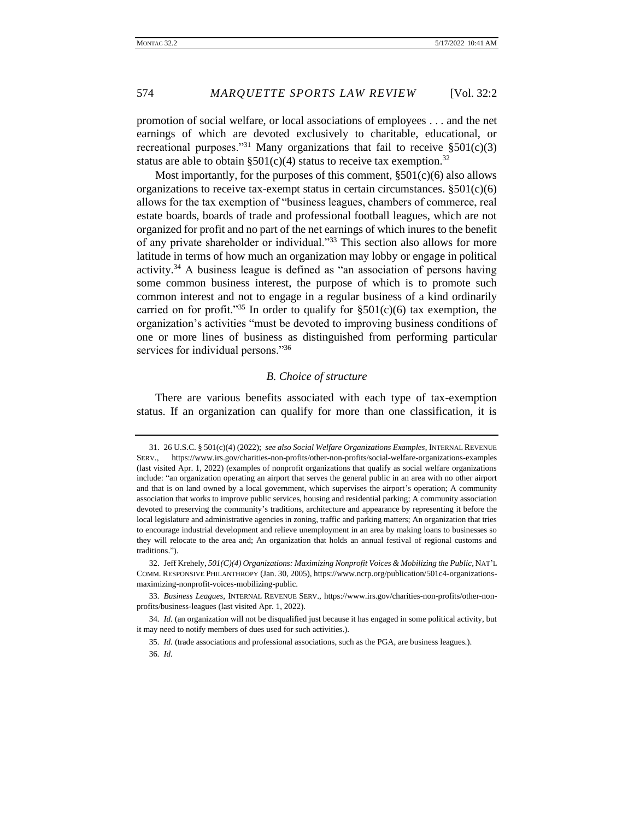promotion of social welfare, or local associations of employees . . . and the net earnings of which are devoted exclusively to charitable, educational, or recreational purposes."<sup>31</sup> Many organizations that fail to receive  $\S 501(c)(3)$ status are able to obtain  $\S 501(c)(4)$  status to receive tax exemption.<sup>32</sup>

Most importantly, for the purposes of this comment,  $\S501(c)(6)$  also allows organizations to receive tax-exempt status in certain circumstances.  $\S501(c)(6)$ allows for the tax exemption of "business leagues, chambers of commerce, real estate boards, boards of trade and professional football leagues, which are not organized for profit and no part of the net earnings of which inures to the benefit of any private shareholder or individual."<sup>33</sup> This section also allows for more latitude in terms of how much an organization may lobby or engage in political activity.<sup>34</sup> A business league is defined as "an association of persons having some common business interest, the purpose of which is to promote such common interest and not to engage in a regular business of a kind ordinarily carried on for profit."<sup>35</sup> In order to qualify for  $\S501(c)(6)$  tax exemption, the organization's activities "must be devoted to improving business conditions of one or more lines of business as distinguished from performing particular services for individual persons."<sup>36</sup>

#### *B. Choice of structure*

There are various benefits associated with each type of tax-exemption status. If an organization can qualify for more than one classification, it is

32. Jeff Krehely, *501(C)(4) Organizations: Maximizing Nonprofit Voices & Mobilizing the Public*, NAT'L COMM. RESPONSIVE PHILANTHROPY (Jan. 30, 2005), https://www.ncrp.org/publication/501c4-organizationsmaximizing-nonprofit-voices-mobilizing-public.

33*. Business Leagues*, INTERNAL REVENUE SERV., https://www.irs.gov/charities-non-profits/other-nonprofits/business-leagues (last visited Apr. 1, 2022).

34*. Id.* (an organization will not be disqualified just because it has engaged in some political activity, but it may need to notify members of dues used for such activities.).

35*. Id.* (trade associations and professional associations, such as the PGA, are business leagues.). 36*. Id.*

<sup>31.</sup> 26 U.S.C. § 501(c)(4) (2022); *see also Social Welfare Organizations Examples*, INTERNAL REVENUE SERV., https://www.irs.gov/charities-non-profits/other-non-profits/social-welfare-organizations-examples (last visited Apr. 1, 2022) (examples of nonprofit organizations that qualify as social welfare organizations include: "an organization operating an airport that serves the general public in an area with no other airport and that is on land owned by a local government, which supervises the airport's operation; A community association that works to improve public services, housing and residential parking; A community association devoted to preserving the community's traditions, architecture and appearance by representing it before the local legislature and administrative agencies in zoning, traffic and parking matters; An organization that tries to encourage industrial development and relieve unemployment in an area by making loans to businesses so they will relocate to the area and; An organization that holds an annual festival of regional customs and traditions.").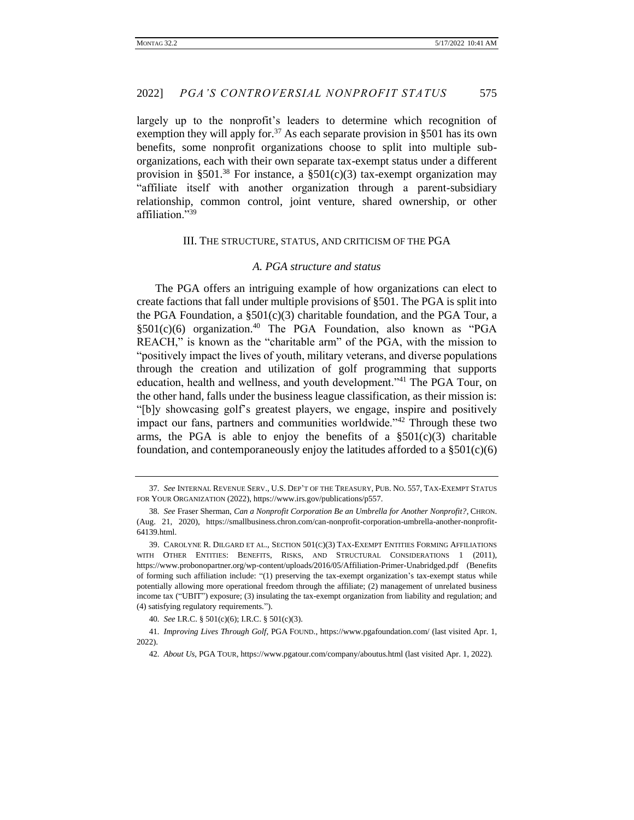largely up to the nonprofit's leaders to determine which recognition of exemption they will apply for.<sup>37</sup> As each separate provision in §501 has its own benefits, some nonprofit organizations choose to split into multiple suborganizations, each with their own separate tax-exempt status under a different provision in §501.<sup>38</sup> For instance, a §501(c)(3) tax-exempt organization may "affiliate itself with another organization through a parent-subsidiary relationship, common control, joint venture, shared ownership, or other affiliation."<sup>39</sup>

#### III. THE STRUCTURE, STATUS, AND CRITICISM OF THE PGA

#### *A. PGA structure and status*

The PGA offers an intriguing example of how organizations can elect to create factions that fall under multiple provisions of §501. The PGA is split into the PGA Foundation, a  $\S501(c)(3)$  charitable foundation, and the PGA Tour, a  $\S501(c)(6)$  organization.<sup>40</sup> The PGA Foundation, also known as "PGA REACH," is known as the "charitable arm" of the PGA, with the mission to "positively impact the lives of youth, military veterans, and diverse populations through the creation and utilization of golf programming that supports education, health and wellness, and youth development."<sup>41</sup> The PGA Tour, on the other hand, falls under the business league classification, as their mission is: "[b]y showcasing golf's greatest players, we engage, inspire and positively impact our fans, partners and communities worldwide."<sup>42</sup> Through these two arms, the PGA is able to enjoy the benefits of a  $\S501(c)(3)$  charitable foundation, and contemporaneously enjoy the latitudes afforded to a  $\S501(c)(6)$ 

<sup>37</sup>*. See* INTERNAL REVENUE SERV., U.S. DEP'T OF THE TREASURY, PUB. NO. 557, TAX-EXEMPT STATUS FOR YOUR ORGANIZATION (2022), https://www.irs.gov/publications/p557.

<sup>38</sup>*. See* Fraser Sherman, *Can a Nonprofit Corporation Be an Umbrella for Another Nonprofit?*, CHRON. (Aug. 21, 2020), https://smallbusiness.chron.com/can-nonprofit-corporation-umbrella-another-nonprofit-64139.html.

<sup>39.</sup> CAROLYNE R. DILGARD ET AL., SECTION 501(C)(3) TAX-EXEMPT ENTITIES FORMING AFFILIATIONS WITH OTHER ENTITIES: BENEFITS, RISKS, AND STRUCTURAL CONSIDERATIONS 1 (2011), https://www.probonopartner.org/wp-content/uploads/2016/05/Affiliation-Primer-Unabridged.pdf (Benefits of forming such affiliation include: "(1) preserving the tax-exempt organization's tax-exempt status while potentially allowing more operational freedom through the affiliate; (2) management of unrelated business income tax ("UBIT") exposure; (3) insulating the tax-exempt organization from liability and regulation; and (4) satisfying regulatory requirements.").

<sup>40</sup>*. See* I.R.C. § 501(c)(6); I.R.C. § 501(c)(3).

<sup>41</sup>*. Improving Lives Through Golf*, PGA FOUND., https://www.pgafoundation.com/ (last visited Apr. 1, 2022).

<sup>42</sup>*. About Us*, PGA TOUR, https://www.pgatour.com/company/aboutus.html (last visited Apr. 1, 2022).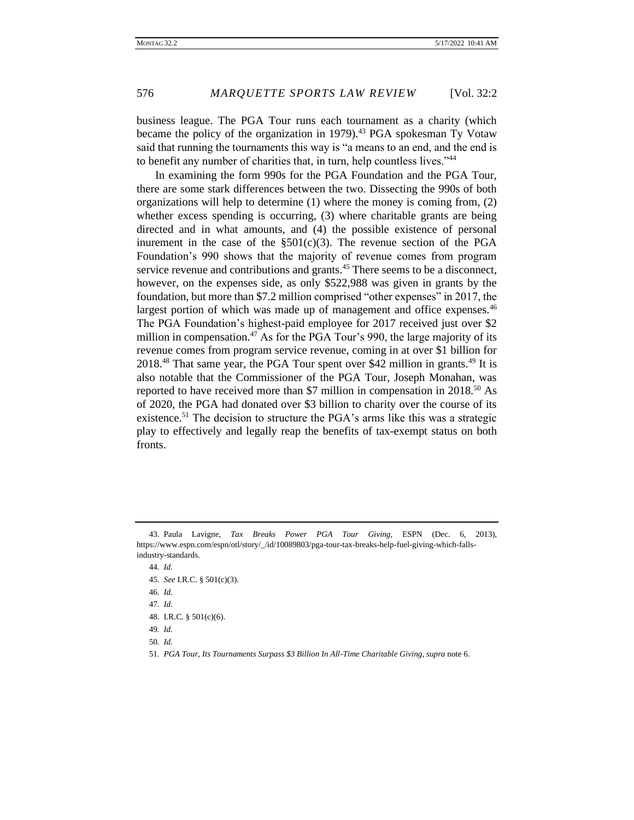business league. The PGA Tour runs each tournament as a charity (which became the policy of the organization in 1979).<sup>43</sup> PGA spokesman Ty Votaw said that running the tournaments this way is "a means to an end, and the end is to benefit any number of charities that, in turn, help countless lives."<sup>44</sup>

In examining the form 990s for the PGA Foundation and the PGA Tour, there are some stark differences between the two. Dissecting the 990s of both organizations will help to determine (1) where the money is coming from, (2) whether excess spending is occurring, (3) where charitable grants are being directed and in what amounts, and (4) the possible existence of personal inurement in the case of the  $\S501(c)(3)$ . The revenue section of the PGA Foundation's 990 shows that the majority of revenue comes from program service revenue and contributions and grants.<sup>45</sup> There seems to be a disconnect, however, on the expenses side, as only \$522,988 was given in grants by the foundation, but more than \$7.2 million comprised "other expenses" in 2017, the largest portion of which was made up of management and office expenses.<sup>46</sup> The PGA Foundation's highest-paid employee for 2017 received just over \$2 million in compensation.<sup>47</sup> As for the PGA Tour's 990, the large majority of its revenue comes from program service revenue, coming in at over \$1 billion for 2018<sup>48</sup> That same year, the PGA Tour spent over \$42 million in grants.<sup>49</sup> It is also notable that the Commissioner of the PGA Tour, Joseph Monahan, was reported to have received more than \$7 million in compensation in 2018.<sup>50</sup> As of 2020, the PGA had donated over \$3 billion to charity over the course of its existence.<sup>51</sup> The decision to structure the PGA's arms like this was a strategic play to effectively and legally reap the benefits of tax-exempt status on both fronts.

44*. Id.*

45*. See* I.R.C. § 501(c)(3).

46*. Id.*

47*. Id.*

48. I.R.C. § 501(c)(6).

49*. Id.*

50*. Id.*

51*. PGA Tour, Its Tournaments Surpass \$3 Billion In All-Time Charitable Giving*, *supra* note 6.

<sup>43.</sup> Paula Lavigne, *Tax Breaks Power PGA Tour Giving*, ESPN (Dec. 6, 2013), https://www.espn.com/espn/otl/story/\_/id/10089803/pga-tour-tax-breaks-help-fuel-giving-which-fallsindustry-standards.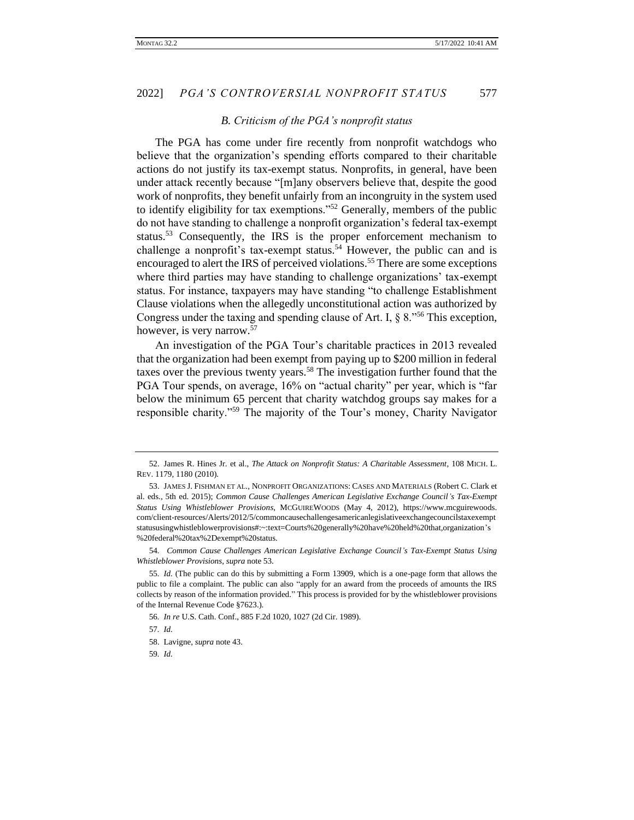### *B. Criticism of the PGA's nonprofit status*

The PGA has come under fire recently from nonprofit watchdogs who believe that the organization's spending efforts compared to their charitable actions do not justify its tax-exempt status. Nonprofits, in general, have been under attack recently because "[m]any observers believe that, despite the good work of nonprofits, they benefit unfairly from an incongruity in the system used to identify eligibility for tax exemptions."<sup>52</sup> Generally, members of the public do not have standing to challenge a nonprofit organization's federal tax-exempt status.<sup>53</sup> Consequently, the IRS is the proper enforcement mechanism to challenge a nonprofit's tax-exempt status.<sup>54</sup> However, the public can and is encouraged to alert the IRS of perceived violations.<sup>55</sup> There are some exceptions where third parties may have standing to challenge organizations' tax-exempt status. For instance, taxpayers may have standing "to challenge Establishment Clause violations when the allegedly unconstitutional action was authorized by Congress under the taxing and spending clause of Art. I,  $\S 8.^{556}$  This exception, however, is very narrow.<sup>57</sup>

An investigation of the PGA Tour's charitable practices in 2013 revealed that the organization had been exempt from paying up to \$200 million in federal taxes over the previous twenty years.<sup>58</sup> The investigation further found that the PGA Tour spends, on average, 16% on "actual charity" per year, which is "far below the minimum 65 percent that charity watchdog groups say makes for a responsible charity."<sup>59</sup> The majority of the Tour's money, Charity Navigator

54*. Common Cause Challenges American Legislative Exchange Council's Tax-Exempt Status Using Whistleblower Provisions*, *supra* note 53.

<sup>52.</sup> James R. Hines Jr. et al., *The Attack on Nonprofit Status: A Charitable Assessment*, 108 MICH. L. REV. 1179, 1180 (2010).

<sup>53.</sup> JAMES J. FISHMAN ET AL., NONPROFIT ORGANIZATIONS: CASES AND MATERIALS (Robert C. Clark et al. eds., 5th ed. 2015); *Common Cause Challenges American Legislative Exchange Council's Tax-Exempt Status Using Whistleblower Provisions*, MCGUIREWOODS (May 4, 2012), https://www.mcguirewoods. com/client-resources/Alerts/2012/5/commoncausechallengesamericanlegislativeexchangecouncilstaxexempt statususingwhistleblowerprovisions#:~:text=Courts%20generally%20have%20held%20that,organization's %20federal%20tax%2Dexempt%20status.

<sup>55</sup>*. Id.* (The public can do this by submitting a Form 13909, which is a one-page form that allows the public to file a complaint. The public can also "apply for an award from the proceeds of amounts the IRS collects by reason of the information provided." This process is provided for by the whistleblower provisions of the Internal Revenue Code §7623.).

<sup>56</sup>*. In re* U.S. Cath. Conf., 885 F.2d 1020, 1027 (2d Cir. 1989).

<sup>57</sup>*. Id.*

<sup>58.</sup> Lavigne, *supra* note 43.

<sup>59</sup>*. Id.*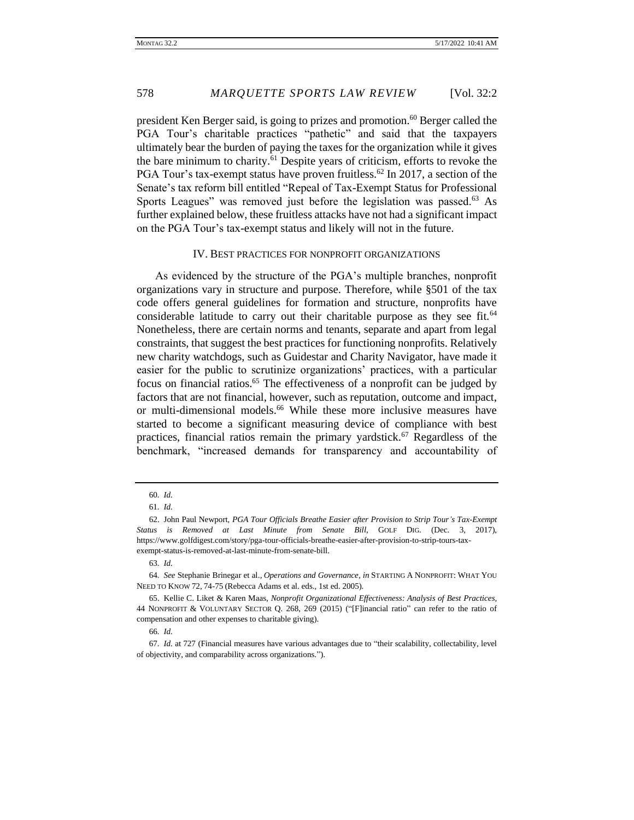president Ken Berger said, is going to prizes and promotion.<sup>60</sup> Berger called the PGA Tour's charitable practices "pathetic" and said that the taxpayers ultimately bear the burden of paying the taxes for the organization while it gives the bare minimum to charity.<sup>61</sup> Despite years of criticism, efforts to revoke the PGA Tour's tax-exempt status have proven fruitless.<sup>62</sup> In 2017, a section of the Senate's tax reform bill entitled "Repeal of Tax-Exempt Status for Professional Sports Leagues" was removed just before the legislation was passed.<sup>63</sup> As further explained below, these fruitless attacks have not had a significant impact on the PGA Tour's tax-exempt status and likely will not in the future.

#### IV. BEST PRACTICES FOR NONPROFIT ORGANIZATIONS

As evidenced by the structure of the PGA's multiple branches, nonprofit organizations vary in structure and purpose. Therefore, while §501 of the tax code offers general guidelines for formation and structure, nonprofits have considerable latitude to carry out their charitable purpose as they see fit. $64$ Nonetheless, there are certain norms and tenants, separate and apart from legal constraints, that suggest the best practices for functioning nonprofits. Relatively new charity watchdogs, such as Guidestar and Charity Navigator, have made it easier for the public to scrutinize organizations' practices, with a particular focus on financial ratios.<sup>65</sup> The effectiveness of a nonprofit can be judged by factors that are not financial, however, such as reputation, outcome and impact, or multi-dimensional models.<sup>66</sup> While these more inclusive measures have started to become a significant measuring device of compliance with best practices, financial ratios remain the primary yardstick.<sup>67</sup> Regardless of the benchmark, "increased demands for transparency and accountability of

<sup>60</sup>*. Id.*

<sup>61</sup>*. Id.*

<sup>62.</sup> John Paul Newport, *PGA Tour Officials Breathe Easier after Provision to Strip Tour's Tax-Exempt Status is Removed at Last Minute from Senate Bill*, GOLF DIG. (Dec. 3, 2017), https://www.golfdigest.com/story/pga-tour-officials-breathe-easier-after-provision-to-strip-tours-taxexempt-status-is-removed-at-last-minute-from-senate-bill.

<sup>63</sup>*. Id.*

<sup>64</sup>*. See* Stephanie Brinegar et al., *Operations and Governance*, *in* STARTING A NONPROFIT: WHAT YOU NEED TO KNOW 72, 74-75 (Rebecca Adams et al. eds., 1st ed. 2005).

<sup>65.</sup> Kellie C. Liket & Karen Maas, *Nonprofit Organizational Effectiveness: Analysis of Best Practices*, 44 NONPROFIT & VOLUNTARY SECTOR Q. 268, 269 (2015) ("[F]inancial ratio" can refer to the ratio of compensation and other expenses to charitable giving).

<sup>66</sup>*. Id.*

<sup>67</sup>*. Id.* at 727 (Financial measures have various advantages due to "their scalability, collectability, level of objectivity, and comparability across organizations.").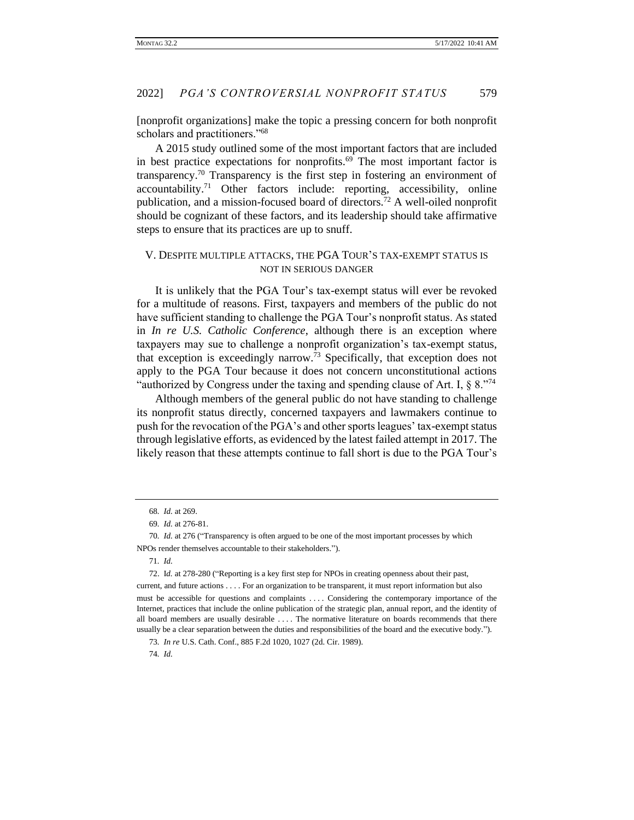[nonprofit organizations] make the topic a pressing concern for both nonprofit scholars and practitioners."<sup>68</sup>

A 2015 study outlined some of the most important factors that are included in best practice expectations for nonprofits. $69$  The most important factor is transparency.<sup>70</sup> Transparency is the first step in fostering an environment of  $accountability.<sup>71</sup>$  Other factors include: reporting, accessibility, online publication, and a mission-focused board of directors.<sup>72</sup> A well-oiled nonprofit should be cognizant of these factors, and its leadership should take affirmative steps to ensure that its practices are up to snuff.

## V. DESPITE MULTIPLE ATTACKS, THE PGA TOUR'S TAX-EXEMPT STATUS IS NOT IN SERIOUS DANGER

It is unlikely that the PGA Tour's tax-exempt status will ever be revoked for a multitude of reasons. First, taxpayers and members of the public do not have sufficient standing to challenge the PGA Tour's nonprofit status. As stated in *In re U.S. Catholic Conference*, although there is an exception where taxpayers may sue to challenge a nonprofit organization's tax-exempt status, that exception is exceedingly narrow.<sup>73</sup> Specifically, that exception does not apply to the PGA Tour because it does not concern unconstitutional actions "authorized by Congress under the taxing and spending clause of Art. I,  $\S 8.^{"74}$ 

Although members of the general public do not have standing to challenge its nonprofit status directly, concerned taxpayers and lawmakers continue to push for the revocation of the PGA's and other sports leagues' tax-exempt status through legislative efforts, as evidenced by the latest failed attempt in 2017. The likely reason that these attempts continue to fall short is due to the PGA Tour's

<sup>68</sup>*. Id.* at 269.

<sup>69</sup>*. Id.* at 276-81.

<sup>70</sup>*. Id.* at 276 ("Transparency is often argued to be one of the most important processes by which NPOs render themselves accountable to their stakeholders.").

<sup>71</sup>*. Id.*

<sup>72.</sup> I*d.* at 278-280 ("Reporting is a key first step for NPOs in creating openness about their past,

current, and future actions . . . . For an organization to be transparent, it must report information but also must be accessible for questions and complaints . . . . Considering the contemporary importance of the Internet, practices that include the online publication of the strategic plan, annual report, and the identity of all board members are usually desirable . . . . The normative literature on boards recommends that there usually be a clear separation between the duties and responsibilities of the board and the executive body.").

<sup>73</sup>*. In re* U.S. Cath. Conf., 885 F.2d 1020, 1027 (2d. Cir. 1989). 74*. Id.*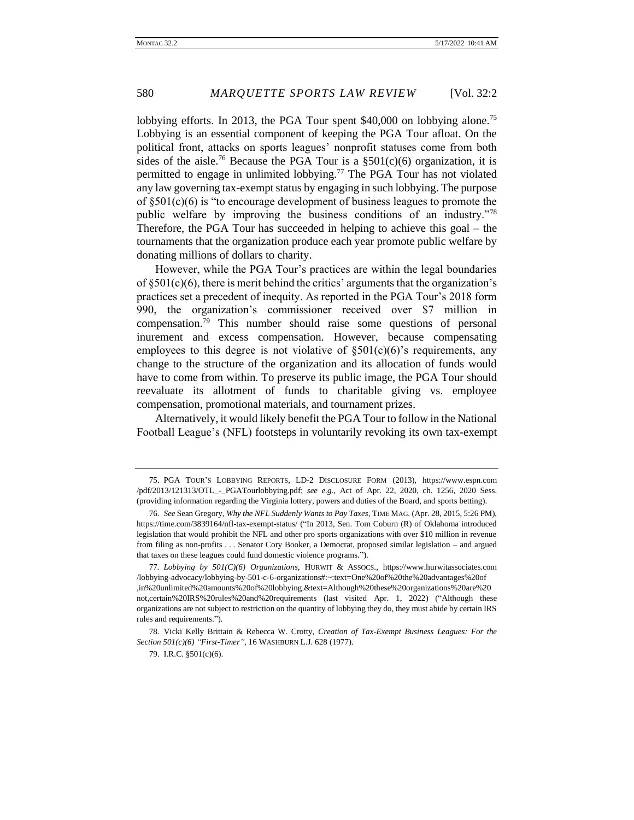lobbying efforts. In 2013, the PGA Tour spent  $$40,000$  on lobbying alone.<sup>75</sup> Lobbying is an essential component of keeping the PGA Tour afloat. On the political front, attacks on sports leagues' nonprofit statuses come from both sides of the aisle.<sup>76</sup> Because the PGA Tour is a  $\S501(c)(6)$  organization, it is permitted to engage in unlimited lobbying.<sup>77</sup> The PGA Tour has not violated any law governing tax-exempt status by engaging in such lobbying. The purpose of  $\S501(c)(6)$  is "to encourage development of business leagues to promote the public welfare by improving the business conditions of an industry."<sup>78</sup> Therefore, the PGA Tour has succeeded in helping to achieve this goal – the tournaments that the organization produce each year promote public welfare by donating millions of dollars to charity.

However, while the PGA Tour's practices are within the legal boundaries of  $\S501(c)(6)$ , there is merit behind the critics' arguments that the organization's practices set a precedent of inequity. As reported in the PGA Tour's 2018 form 990, the organization's commissioner received over \$7 million in compensation.<sup>79</sup> This number should raise some questions of personal inurement and excess compensation. However, because compensating employees to this degree is not violative of  $\S501(c)(6)$ 's requirements, any change to the structure of the organization and its allocation of funds would have to come from within. To preserve its public image, the PGA Tour should reevaluate its allotment of funds to charitable giving vs. employee compensation, promotional materials, and tournament prizes.

Alternatively, it would likely benefit the PGA Tour to follow in the National Football League's (NFL) footsteps in voluntarily revoking its own tax-exempt

<sup>75.</sup> PGA TOUR'S LOBBYING REPORTS, LD-2 DISCLOSURE FORM (2013), https://www.espn.com /pdf/2013/121313/OTL\_-\_PGATourlobbying.pdf; *see e.g.*, Act of Apr. 22, 2020, ch. 1256, 2020 Sess. (providing information regarding the Virginia lottery, powers and duties of the Board, and sports betting).

<sup>76</sup>*. See* Sean Gregory, *Why the NFL Suddenly Wants to Pay Taxes*, TIME MAG. (Apr. 28, 2015, 5:26 PM), https://time.com/3839164/nfl-tax-exempt-status/ ("In 2013, Sen. Tom Coburn (R) of Oklahoma introduced legislation that would prohibit the NFL and other pro sports organizations with over \$10 million in revenue from filing as non-profits . . . Senator Cory Booker, a Democrat, proposed similar legislation – and argued that taxes on these leagues could fund domestic violence programs.").

<sup>77</sup>*. Lobbying by 501(C)(6) Organizations*, HURWIT & ASSOCS., https://www.hurwitassociates.com /lobbying-advocacy/lobbying-by-501-c-6-organizations#:~:text=One%20of%20the%20advantages%20of ,in%20unlimited%20amounts%20of%20lobbying.&text=Although%20these%20organizations%20are%20 not,certain%20IRS%20rules%20and%20requirements (last visited Apr. 1, 2022) ("Although these organizations are not subject to restriction on the quantity of lobbying they do, they must abide by certain IRS rules and requirements.").

<sup>78.</sup> Vicki Kelly Brittain & Rebecca W. Crotty, *Creation of Tax-Exempt Business Leagues: For the Section 501(c)(6) "First-Timer"*, 16 WASHBURN L.J. 628 (1977).

<sup>79.</sup> I.R.C. §501(c)(6).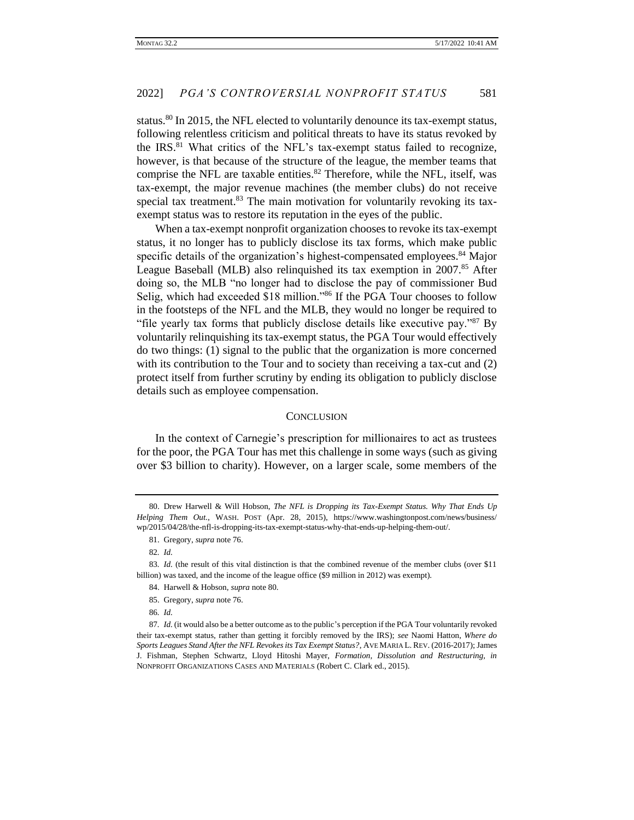status.<sup>80</sup> In 2015, the NFL elected to voluntarily denounce its tax-exempt status, following relentless criticism and political threats to have its status revoked by the IRS.<sup>81</sup> What critics of the NFL's tax-exempt status failed to recognize, however, is that because of the structure of the league, the member teams that comprise the NFL are taxable entities. $82$  Therefore, while the NFL, itself, was tax-exempt, the major revenue machines (the member clubs) do not receive special tax treatment. $83$  The main motivation for voluntarily revoking its taxexempt status was to restore its reputation in the eyes of the public.

When a tax-exempt nonprofit organization chooses to revoke its tax-exempt status, it no longer has to publicly disclose its tax forms, which make public specific details of the organization's highest-compensated employees.<sup>84</sup> Major League Baseball (MLB) also relinquished its tax exemption in 2007.85 After doing so, the MLB "no longer had to disclose the pay of commissioner Bud Selig, which had exceeded \$18 million."<sup>86</sup> If the PGA Tour chooses to follow in the footsteps of the NFL and the MLB, they would no longer be required to "file yearly tax forms that publicly disclose details like executive pay."<sup>87</sup> By voluntarily relinquishing its tax-exempt status, the PGA Tour would effectively do two things: (1) signal to the public that the organization is more concerned with its contribution to the Tour and to society than receiving a tax-cut and  $(2)$ protect itself from further scrutiny by ending its obligation to publicly disclose details such as employee compensation.

#### **CONCLUSION**

In the context of Carnegie's prescription for millionaires to act as trustees for the poor, the PGA Tour has met this challenge in some ways (such as giving over \$3 billion to charity). However, on a larger scale, some members of the

84. Harwell & Hobson, *supra* note 80.

86*. Id.*

<sup>80.</sup> Drew Harwell & Will Hobson, *The NFL is Dropping its Tax-Exempt Status. Why That Ends Up Helping Them Out.*, WASH. POST (Apr. 28, 2015), https://www.washingtonpost.com/news/business/ wp/2015/04/28/the-nfl-is-dropping-its-tax-exempt-status-why-that-ends-up-helping-them-out/.

<sup>81.</sup> Gregory, *supra* note 76.

<sup>82</sup>*. Id.*

<sup>83</sup>*. Id.* (the result of this vital distinction is that the combined revenue of the member clubs (over \$11 billion) was taxed, and the income of the league office (\$9 million in 2012) was exempt).

<sup>85.</sup> Gregory, *supra* note 76.

<sup>87</sup>*. Id.* (it would also be a better outcome as to the public's perception if the PGA Tour voluntarily revoked their tax-exempt status, rather than getting it forcibly removed by the IRS); *see* Naomi Hatton, *Where do Sports Leagues Stand After the NFL Revokes its Tax Exempt Status?*, AVE MARIA L. REV. (2016-2017); James J. Fishman, Stephen Schwartz, Lloyd Hitoshi Mayer, *Formation, Dissolution and Restructuring, in* NONPROFIT ORGANIZATIONS CASES AND MATERIALS (Robert C. Clark ed., 2015).